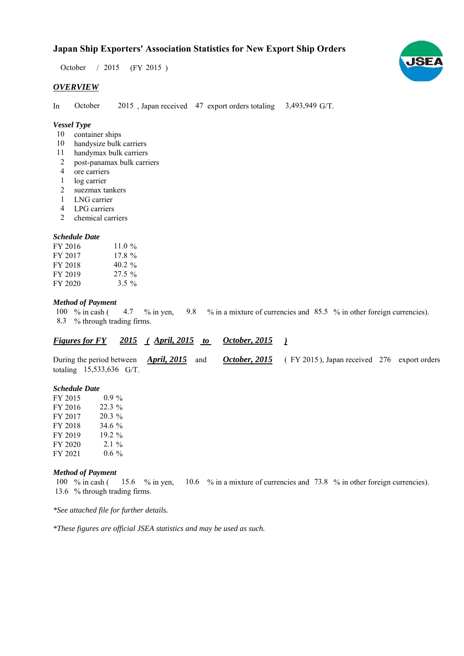# **Japan Ship Exporters' Association Statistics for New Export Ship Orders**

October / 2015 (FY 2015)

#### *OVERVIEW*

In October 2015, Japan received 47 export orders totaling 3,493,949 G/T. October

## *Vessel Type*

- container ships 10
- 10 handysize bulk carriers
- handymax bulk carriers 11
- post-panamax bulk carriers 2
- ore carriers 4
- 1 log carrier
- suezmax tankers 2
- LNG carrier 1
- LPG carriers 4
- chemical carriers 2

### *Schedule Date*

| FY 2016 | 11.0 $\%$ |
|---------|-----------|
| FY 2017 | $17.8 \%$ |
| FY 2018 | $40.2 \%$ |
| FY 2019 | $27.5 \%$ |
| FY 2020 | $3.5 \%$  |

#### *Method of Payment*

% in cash ( $\frac{4.7}{8}$  % in yen,  $\frac{9.8}{8}$  % in a mixture of currencies and 85.5 % in other foreign currencies). % through trading firms. 8.3 4.7  $%$  in yen, 100 % in cash (

#### *<u>Figures for FY 2015 (April, 2015 to October, 2015)</u> October, 2015*

During the period between *April, 2015* and *October, 2015* (FY 2015), Japan received 276 export orders totaling  $15,533,636$  G/T. *April, 2015 October, 2015*

#### *Schedule Date*

| FY 2015 | $0.9\%$  |
|---------|----------|
| FY 2016 | $22.3\%$ |
| FY 2017 | $20.3\%$ |
| FY 2018 | 34.6 %   |
| FY 2019 | 19.2 %   |
| FY 2020 | $2.1\%$  |
| FY 2021 | $0.6\%$  |

#### *Method of Payment*

% in cash ( $\frac{15.6}{8}$  % in yen,  $\frac{10.6}{8}$  % in a mixture of currencies and 73.8 % in other foreign currencies). 13.6 % through trading firms. 100 % in cash (15.6 % in yen, 10.6

*\*See attached file for further details.*

*\*These figures are official JSEA statistics and may be used as such.*

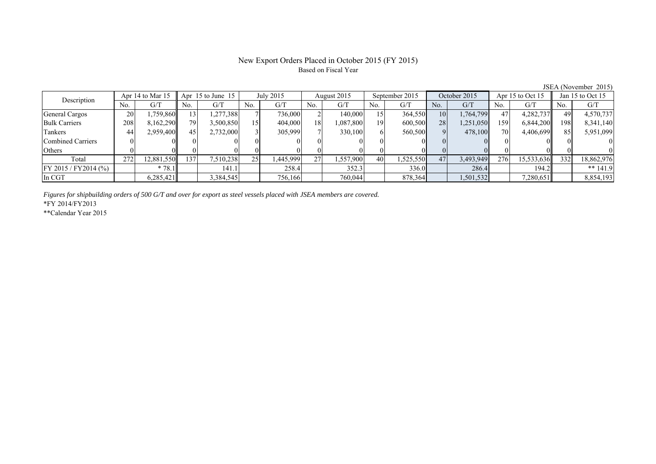### New Export Orders Placed in October 2015 (FY 2015) Based on Fiscal Year

JSEA (November 2015)<br>Apr 15 to Oct 15 Jan 15 to Oct 15 No. G/T No. G/T No. G/T No. G/T No. G/T No. G/T No. G/T No. G/T General Cargos ( 20 1,759,860 13 1,277,388 7 736,000 2 140,000 15 364,550 10 1,764,799 47 4,282,737 49 4,570,737 Bulk Carriers 208 8,162,290 79 3,500,850 15 404,000 18 1,087,800 19 600,500 28 1,251,050 159 6,844,200 198 8,341,140 Tankers | 44| 2,959,400|| 45| 2,732,000| 3| 305,999| 7| 330,100| 6| 560,500| 9| 478,100| 70| 4,406,699|| 85| 5,951,099 Combined Carriers 0 0 0 0 0 0 0 0 0 0 0 0 0 0 0 0 Others | 0 | 0 || 0 || 0 || 0 || 0 || 0 || 0 || 0 || 0 || 0 | Total 272 12,881,550 137 7,510,238 25 1,445,999 27 1,557,900 40 1,525,550 47 3,493,949 276 15,533,636 332 18,862,976 FY 2015 / FY2014 (%)  $* 78.1$   $141.1$   $258.4$   $352.3$   $336.0$   $286.4$   $194.2$   $* 141.9$ In CGT | | 6,285,421|| | 3,384,545| | 756,166| | 760,044| | 878,364| | 1,501,532| | 7,280,651| | 8,854,193 Description Apr 14 to Mar 15 Apr 15 to June 15 July 2015 August 2015<br>No. 6/T No. 6/T No. 6/T No. 6/T No. 6/T Apr 15 to June 15 July 2015 August 2015 September 2015 October 2015 Apr 15 to Oct 15 Jan 15 to Oct 15

*Figures for shipbuilding orders of 500 G/T and over for export as steel vessels placed with JSEA members are covered.*

\*FY 2014/FY2013

\*\*Calendar Year 2015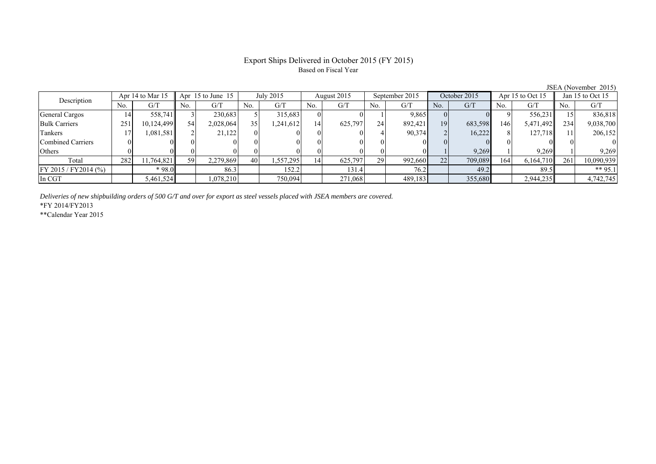# Export Ships Delivered in October 2015 (FY 2015) Based on Fiscal Year

| Jan 15 to Oct 15<br>G/T<br>No.                                             |
|----------------------------------------------------------------------------|
|                                                                            |
|                                                                            |
| 836,818                                                                    |
| 9,038,700<br>234                                                           |
| 206,152                                                                    |
|                                                                            |
| 9,269                                                                      |
| 10,090,939<br>261                                                          |
| ** 95.1                                                                    |
| 4,742,745                                                                  |
| 556,231<br>5,471,492<br>127.718<br>9.269<br>6,164,710<br>89.5<br>2,944,235 |

*Deliveries of new shipbuilding orders of 500 G/T and over for export as steel vessels placed with JSEA members are covered.*

\*FY 2014/FY2013

\*\*Calendar Year 2015

JSEA (November 2015)